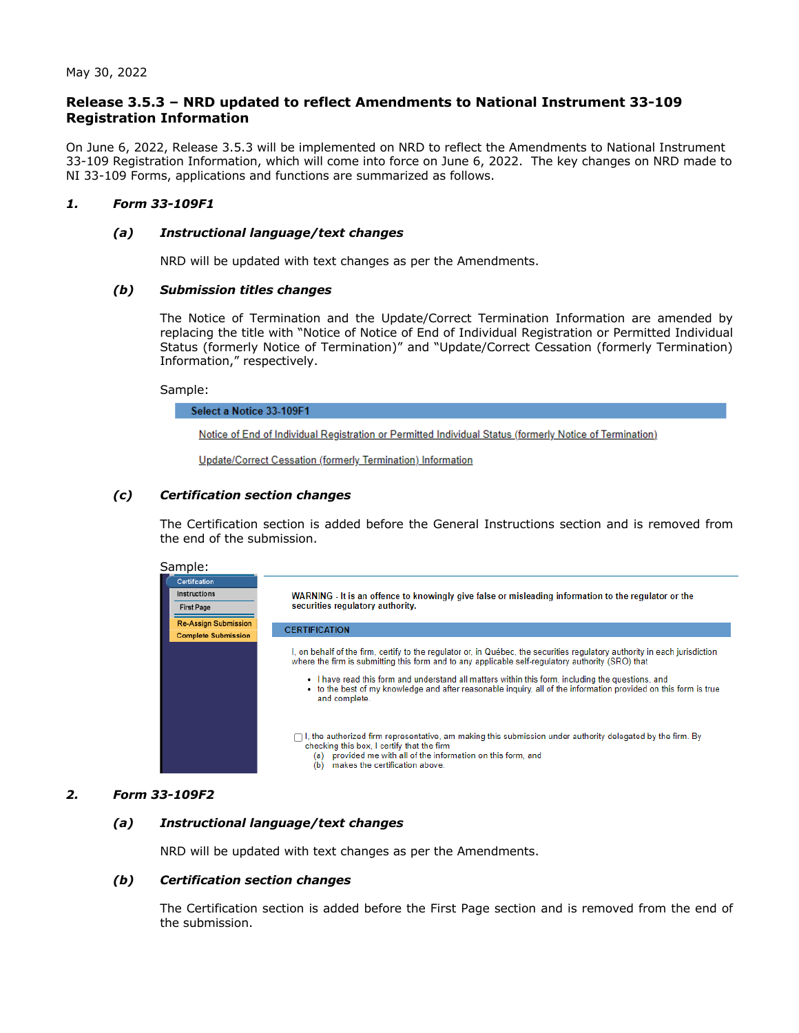# **Release 3.5.3 – NRD updated to reflect Amendments to National Instrument 33-109 Registration Information**

On June 6, 2022, Release 3.5.3 will be implemented on NRD to reflect the Amendments to National Instrument 33-109 Registration Information, which will come into force on June 6, 2022. The key changes on NRD made to NI 33-109 Forms, applications and functions are summarized as follows.

# *1. Form 33-109F1*

# *(a) Instructional language/text changes*

NRD will be updated with text changes as per the Amendments.

# *(b) Submission titles changes*

The Notice of Termination and the Update/Correct Termination Information are amended by replacing the title with "Notice of Notice of End of Individual Registration or Permitted Individual Status (formerly Notice of Termination)" and "Update/Correct Cessation (formerly Termination) Information," respectively.

# Sample:

Select a Notice 33-109F1

Notice of End of Individual Registration or Permitted Individual Status (formerly Notice of Termination)

Update/Correct Cessation (formerly Termination) Information

# *(c) Certification section changes*

The Certification section is added before the General Instructions section and is removed from the end of the submission.



# *2. Form 33-109F2*

# *(a) Instructional language/text changes*

NRD will be updated with text changes as per the Amendments.

# *(b) Certification section changes*

The Certification section is added before the First Page section and is removed from the end of the submission.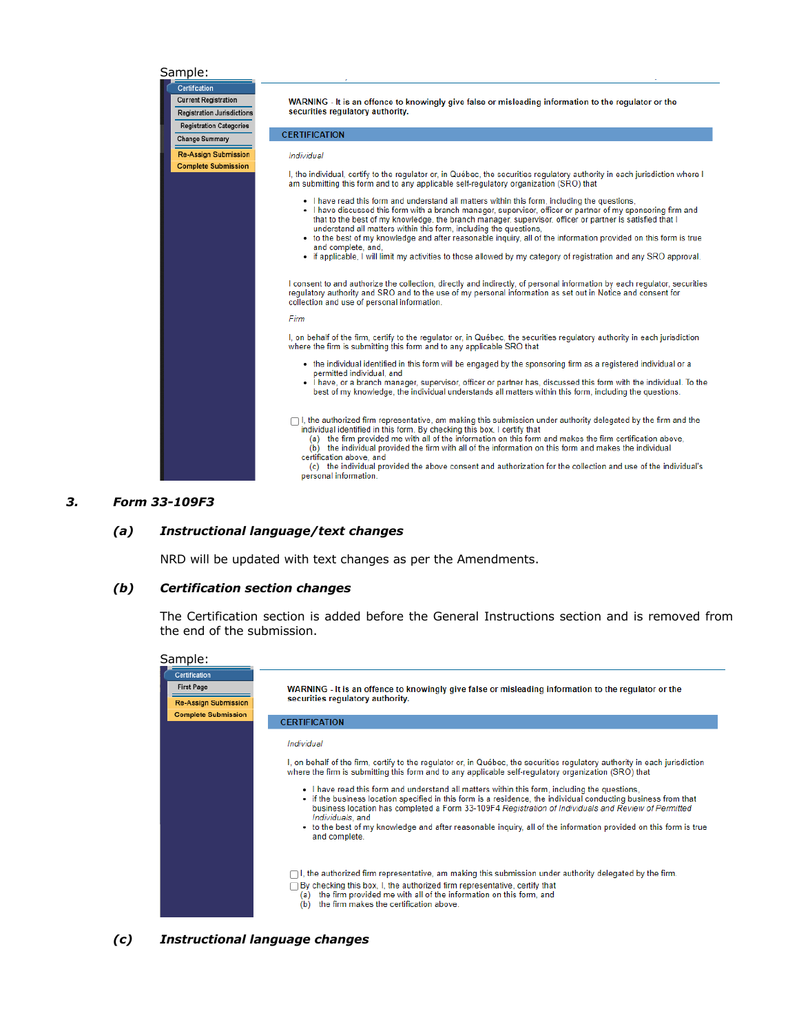#### Sample:



#### *3. Form 33-109F3*

#### *(a) Instructional language/text changes*

NRD will be updated with text changes as per the Amendments.

#### *(b) Certification section changes*

The Certification section is added before the General Instructions section and is removed from the end of the submission.



*(c) Instructional language changes*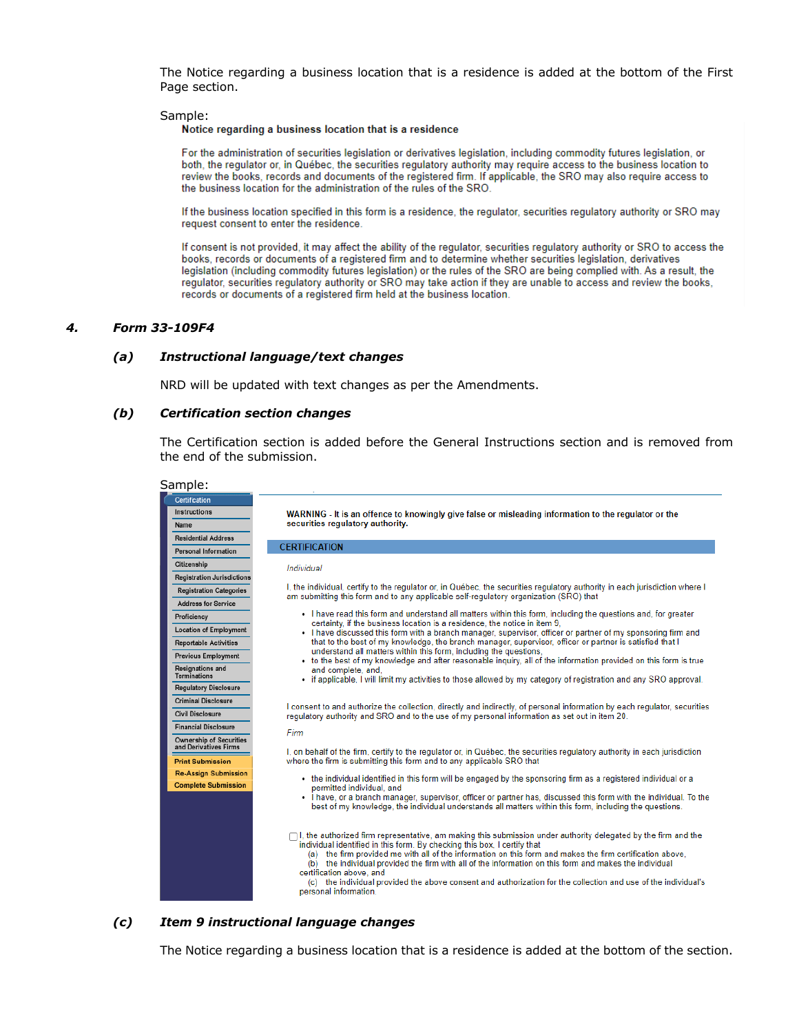The Notice regarding a business location that is a residence is added at the bottom of the First Page section.

#### Sample:

#### Notice regarding a business location that is a residence

For the administration of securities legislation or derivatives legislation, including commodity futures legislation, or both, the regulator or, in Québec, the securities regulatory authority may require access to the business location to review the books, records and documents of the registered firm. If applicable, the SRO may also require access to the business location for the administration of the rules of the SRO.

If the business location specified in this form is a residence, the regulator, securities regulatory authority or SRO may request consent to enter the residence.

If consent is not provided, it may affect the ability of the regulator, securities regulatory authority or SRO to access the books, records or documents of a registered firm and to determine whether securities legislation, derivatives legislation (including commodity futures legislation) or the rules of the SRO are being complied with. As a result, the regulator, securities regulatory authority or SRO may take action if they are unable to access and review the books, records or documents of a registered firm held at the business location.

#### *4. Form 33-109F4*

#### *(a) Instructional language/text changes*

NRD will be updated with text changes as per the Amendments.

#### *(b) Certification section changes*

The Certification section is added before the General Instructions section and is removed from the end of the submission.

| Sample:                                                 |                                                                                                                                                                                                                                                                                                                                                                                                                                                                                                                                                                                                 |
|---------------------------------------------------------|-------------------------------------------------------------------------------------------------------------------------------------------------------------------------------------------------------------------------------------------------------------------------------------------------------------------------------------------------------------------------------------------------------------------------------------------------------------------------------------------------------------------------------------------------------------------------------------------------|
| Certification                                           |                                                                                                                                                                                                                                                                                                                                                                                                                                                                                                                                                                                                 |
| Instructions                                            | WARNING - It is an offence to knowingly give false or misleading information to the regulator or the                                                                                                                                                                                                                                                                                                                                                                                                                                                                                            |
| Name                                                    | securities regulatory authority.                                                                                                                                                                                                                                                                                                                                                                                                                                                                                                                                                                |
| <b>Residential Address</b>                              |                                                                                                                                                                                                                                                                                                                                                                                                                                                                                                                                                                                                 |
| <b>Personal Information</b>                             | <b>CERTIFICATION</b>                                                                                                                                                                                                                                                                                                                                                                                                                                                                                                                                                                            |
| Citizenship                                             | Individual                                                                                                                                                                                                                                                                                                                                                                                                                                                                                                                                                                                      |
| <b>Registration Jurisdictions</b>                       |                                                                                                                                                                                                                                                                                                                                                                                                                                                                                                                                                                                                 |
| <b>Registration Categories</b>                          | I, the individual, certify to the regulator or, in Québec, the securities regulatory authority in each jurisdiction where I<br>am submitting this form and to any applicable self-regulatory organization (SRO) that                                                                                                                                                                                                                                                                                                                                                                            |
| <b>Address for Service</b>                              |                                                                                                                                                                                                                                                                                                                                                                                                                                                                                                                                                                                                 |
| Proficiency                                             | . I have read this form and understand all matters within this form, including the questions and, for greater<br>certainty, if the business location is a residence, the notice in item 9.                                                                                                                                                                                                                                                                                                                                                                                                      |
| <b>Location of Employment</b>                           | • I have discussed this form with a branch manager, supervisor, officer or partner of my sponsoring firm and                                                                                                                                                                                                                                                                                                                                                                                                                                                                                    |
| <b>Reportable Activities</b>                            | that to the best of my knowledge, the branch manager, supervisor, officer or partner is satisfied that I                                                                                                                                                                                                                                                                                                                                                                                                                                                                                        |
| <b>Previous Employment</b>                              | understand all matters within this form, including the questions,<br>• to the best of my knowledge and after reasonable inquiry, all of the information provided on this form is true                                                                                                                                                                                                                                                                                                                                                                                                           |
| <b>Resignations and</b><br><b>Terminations</b>          | and complete, and,                                                                                                                                                                                                                                                                                                                                                                                                                                                                                                                                                                              |
| <b>Regulatory Disclosure</b>                            | • if applicable, I will limit my activities to those allowed by my category of registration and any SRO approval.                                                                                                                                                                                                                                                                                                                                                                                                                                                                               |
| <b>Criminal Disclosure</b>                              |                                                                                                                                                                                                                                                                                                                                                                                                                                                                                                                                                                                                 |
| <b>Civil Disclosure</b>                                 | I consent to and authorize the collection, directly and indirectly, of personal information by each requlator, securities<br>requlatory authority and SRO and to the use of my personal information as set out in item 20.                                                                                                                                                                                                                                                                                                                                                                      |
| <b>Financial Disclosure</b>                             | Firm                                                                                                                                                                                                                                                                                                                                                                                                                                                                                                                                                                                            |
| <b>Ownership of Securities</b><br>and Derivatives Firms | I, on behalf of the firm, certify to the regulator or, in Québec, the securities regulatory authority in each jurisdiction                                                                                                                                                                                                                                                                                                                                                                                                                                                                      |
| <b>Print Submission</b>                                 | where the firm is submitting this form and to any applicable SRO that                                                                                                                                                                                                                                                                                                                                                                                                                                                                                                                           |
| <b>Re-Assign Submission</b>                             | • the individual identified in this form will be engaged by the sponsoring firm as a registered individual or a                                                                                                                                                                                                                                                                                                                                                                                                                                                                                 |
| <b>Complete Submission</b>                              | permitted individual, and                                                                                                                                                                                                                                                                                                                                                                                                                                                                                                                                                                       |
|                                                         | . I have, or a branch manager, supervisor, officer or partner has, discussed this form with the individual. To the<br>best of my knowledge, the individual understands all matters within this form, including the questions.                                                                                                                                                                                                                                                                                                                                                                   |
|                                                         | $\Box$ I, the authorized firm representative, am making this submission under authority delegated by the firm and the<br>individual identified in this form. By checking this box, I certify that<br>(a) the firm provided me with all of the information on this form and makes the firm certification above.<br>(b) the individual provided the firm with all of the information on this form and makes the individual<br>certification above, and<br>(c) the individual provided the above consent and authorization for the collection and use of the individual's<br>personal information. |

#### *(c) Item 9 instructional language changes*

The Notice regarding a business location that is a residence is added at the bottom of the section.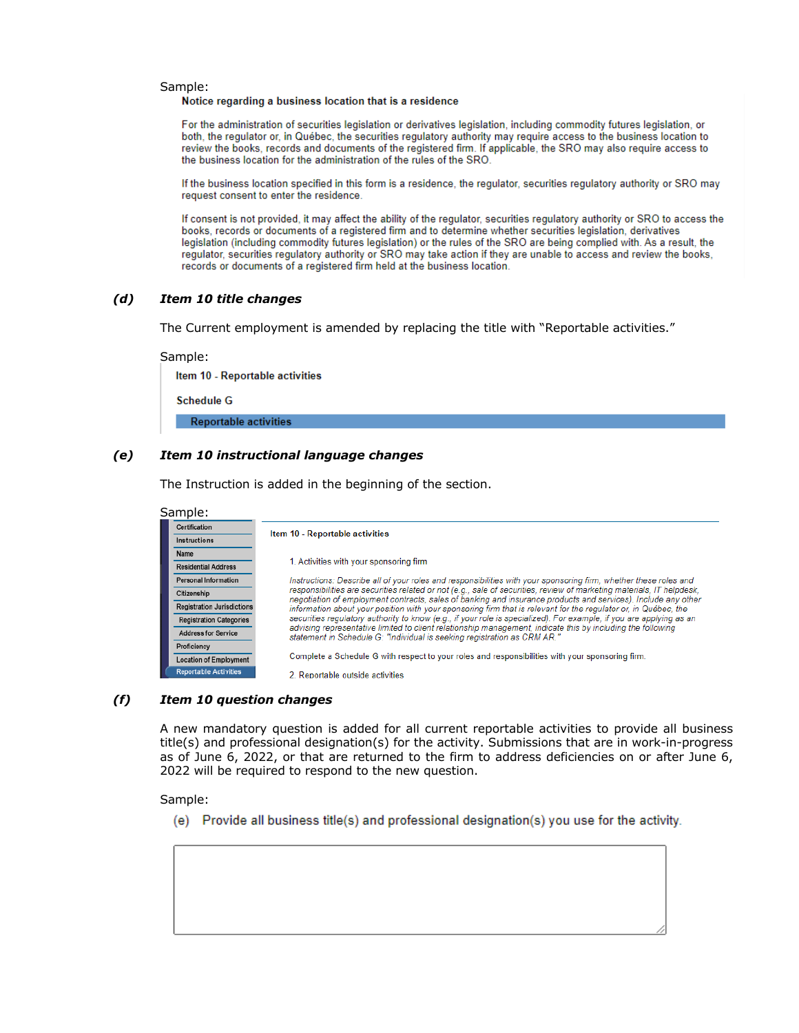# Sample:<br>Notice regarding a business location that is a residence

For the administration of securities legislation or derivatives legislation, including commodity futures legislation, or both, the regulator or, in Québec, the securities regulatory authority may require access to the business location to review the books, records and documents of the registered firm. If applicable, the SRO may also require access to the business location for the administration of the rules of the SRO.

If the business location specified in this form is a residence, the regulator, securities regulatory authority or SRO may request consent to enter the residence.

If consent is not provided, it may affect the ability of the regulator, securities regulatory authority or SRO to access the books, records or documents of a registered firm and to determine whether securities legislation, derivatives legislation (including commodity futures legislation) or the rules of the SRO are being complied with. As a result, the regulator, securities regulatory authority or SRO may take action if they are unable to access and review the books, records or documents of a registered firm held at the business location.

#### *(d) Item 10 title changes*

The Current employment is amended by replacing the title with "Reportable activities."

Sample: Item 10 - Reportable activities **Schedule G Reportable activities** 

#### *(e) Item 10 instructional language changes*

The Instruction is added in the beginning of the section.

| Sample:                           |                                                                                                                                                                                                                                        |
|-----------------------------------|----------------------------------------------------------------------------------------------------------------------------------------------------------------------------------------------------------------------------------------|
| Certification                     | Item 10 - Reportable activities                                                                                                                                                                                                        |
| Instructions                      |                                                                                                                                                                                                                                        |
| Name                              |                                                                                                                                                                                                                                        |
| <b>Residential Address</b>        | 1. Activities with your sponsoring firm                                                                                                                                                                                                |
| Personal Information              | Instructions: Describe all of your roles and responsibilities with your sponsoring firm, whether these roles and                                                                                                                       |
| Citizenship                       | responsibilities are securities related or not (e.g., sale of securities, review of marketing materials. IT helpdesk.<br>negotiation of employment contracts, sales of banking and insurance products and services). Include any other |
| <b>Registration Jurisdictions</b> | information about your position with your sponsoring firm that is relevant for the requlator or, in Québec, the<br>securities regulatory authority to know (e.g., if your role is specialized). For example, if you are applying as an |
| <b>Registration Categories</b>    |                                                                                                                                                                                                                                        |
| <b>Address for Service</b>        | advising representative limited to client relationship management, indicate this by including the following<br>statement in Schedule G: "Individual is seeking registration as CRM AR."                                                |
| Proficiency                       |                                                                                                                                                                                                                                        |
| <b>Location of Employment</b>     | Complete a Schedule G with respect to your roles and responsibilities with your sponsoring firm.                                                                                                                                       |
| <b>Reportable Activities</b>      | 2. Reportable outside activities                                                                                                                                                                                                       |

#### *(f) Item 10 question changes*

A new mandatory question is added for all current reportable activities to provide all business title(s) and professional designation(s) for the activity. Submissions that are in work-in-progress as of June 6, 2022, or that are returned to the firm to address deficiencies on or after June 6, 2022 will be required to respond to the new question.

Sample:

(e) Provide all business title(s) and professional designation(s) you use for the activity.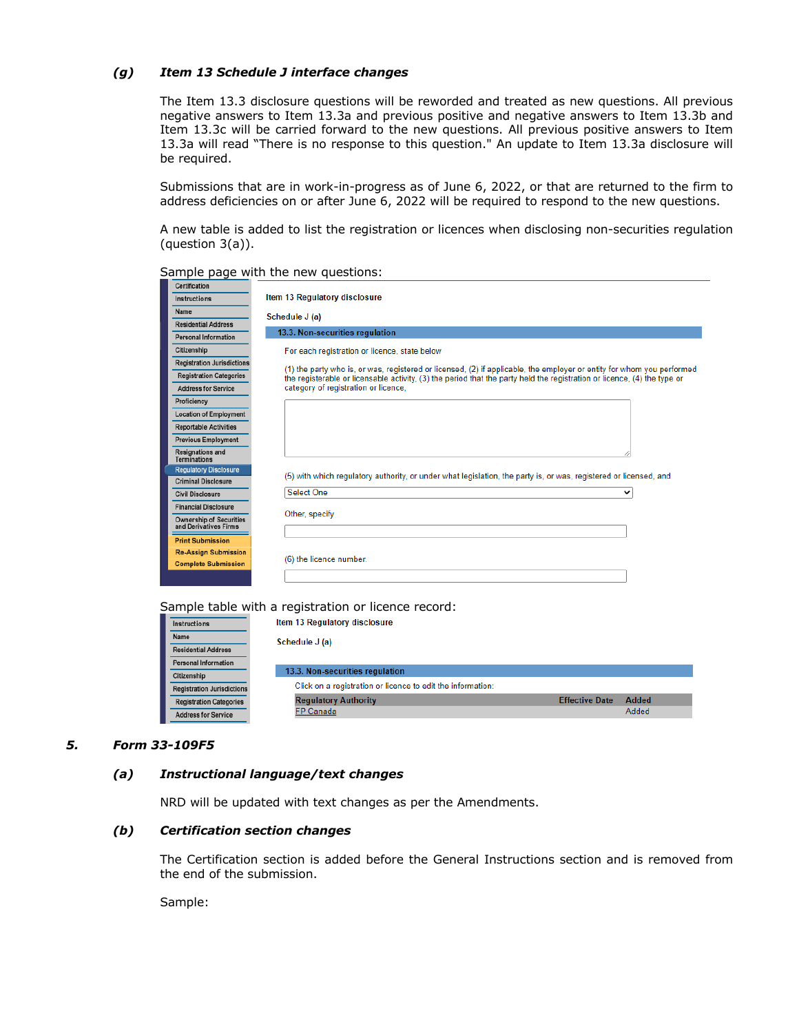#### *(g) Item 13 Schedule J interface changes*

The Item 13.3 disclosure questions will be reworded and treated as new questions. All previous negative answers to Item 13.3a and previous positive and negative answers to Item 13.3b and Item 13.3c will be carried forward to the new questions. All previous positive answers to Item 13.3a will read "There is no response to this question." An update to Item 13.3a disclosure will be required.

Submissions that are in work-in-progress as of June 6, 2022, or that are returned to the firm to address deficiencies on or after June 6, 2022 will be required to respond to the new questions.

A new table is added to list the registration or licences when disclosing non-securities regulation (question 3(a)).

| Certification                                    |                                                                                                                          |
|--------------------------------------------------|--------------------------------------------------------------------------------------------------------------------------|
| Instructions                                     | Item 13 Regulatory disclosure                                                                                            |
| Name                                             | Schedule J (a)                                                                                                           |
| <b>Residential Address</b>                       |                                                                                                                          |
| <b>Personal Information</b>                      | 13.3. Non-securities regulation                                                                                          |
| Citizenship                                      | For each registration or licence, state below                                                                            |
| <b>Registration Jurisdictions</b>                | (1) the party who is, or was, registered or licensed, (2) if applicable, the employer or entity for whom you performed   |
| <b>Registration Categories</b>                   | the registerable or licensable activity. (3) the period that the party held the registration or licence. (4) the type or |
| <b>Address for Service</b>                       | category of registration or licence,                                                                                     |
| Proficiency                                      |                                                                                                                          |
| <b>Location of Employment</b>                    |                                                                                                                          |
| <b>Reportable Activities</b>                     |                                                                                                                          |
| <b>Previous Employment</b>                       |                                                                                                                          |
| <b>Resignations and</b><br>Terminations          |                                                                                                                          |
| <b>Regulatory Disclosure</b>                     | (5) with which regulatory authority, or under what legislation, the party is, or was, registered or licensed, and        |
| <b>Criminal Disclosure</b>                       |                                                                                                                          |
| <b>Civil Disclosure</b>                          | <b>Select One</b><br>$\check{ }$                                                                                         |
| <b>Financial Disclosure</b>                      |                                                                                                                          |
| Ownership of Securities<br>and Derivatives Firms | Other, specify                                                                                                           |
| <b>Print Submission</b>                          |                                                                                                                          |
| <b>Re-Assign Submission</b>                      |                                                                                                                          |
| <b>Complete Submission</b>                       | (6) the licence number.                                                                                                  |
|                                                  |                                                                                                                          |
|                                                  |                                                                                                                          |

Sample page with the new questions:

Sample table with a registration or licence record:

| Instructions                      | Item 13 Regulatory disclosure                               |                                |  |
|-----------------------------------|-------------------------------------------------------------|--------------------------------|--|
| Name                              | Schedule J (a)                                              |                                |  |
| <b>Residential Address</b>        |                                                             |                                |  |
| <b>Personal Information</b>       |                                                             |                                |  |
| Citizenship                       | 13.3. Non-securities regulation                             |                                |  |
| <b>Registration Jurisdictions</b> | Click on a registration or licence to edit the information: |                                |  |
| <b>Registration Categories</b>    | <b>Regulatory Authority</b>                                 | Added<br><b>Effective Date</b> |  |
| <b>Address for Service</b>        | <b>FP Canada</b>                                            | Added                          |  |

# *5. Form 33-109F5*

#### *(a) Instructional language/text changes*

NRD will be updated with text changes as per the Amendments.

#### *(b) Certification section changes*

The Certification section is added before the General Instructions section and is removed from the end of the submission.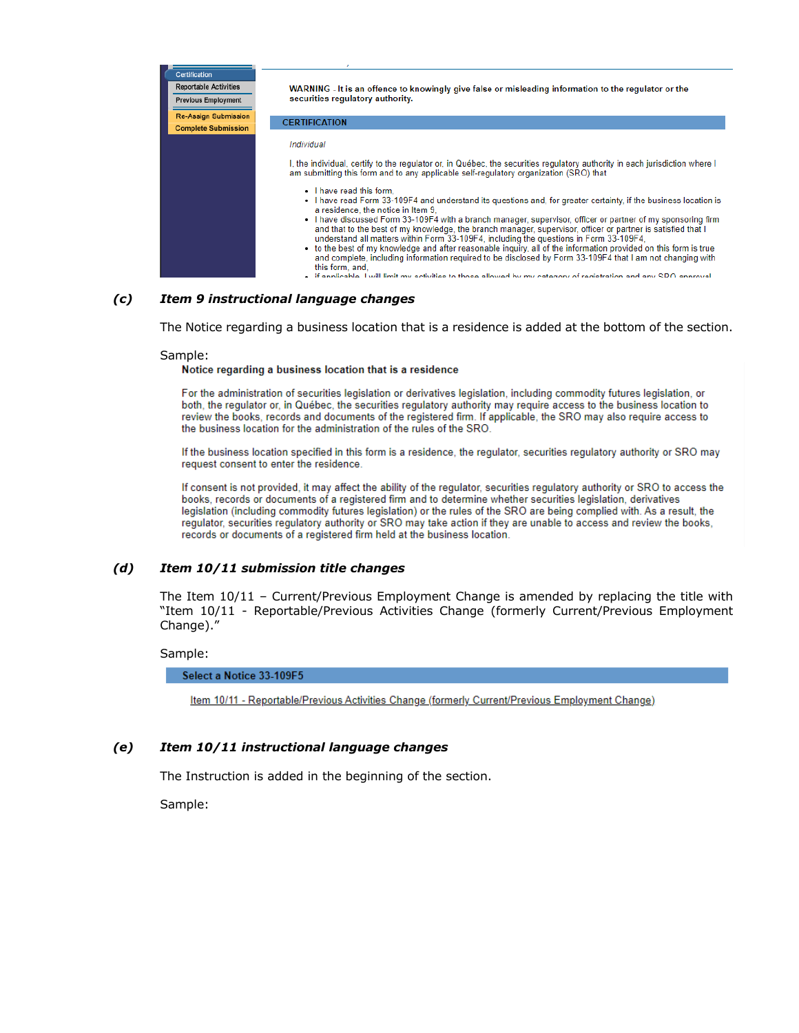| <b>Certification</b><br><b>Reportable Activities</b><br><b>Previous Employment</b> | WARNING - It is an offence to knowingly give false or misleading information to the regulator or the<br>securities regulatory authority.                                                                                                                                                                                                                                                                                                                   |
|------------------------------------------------------------------------------------|------------------------------------------------------------------------------------------------------------------------------------------------------------------------------------------------------------------------------------------------------------------------------------------------------------------------------------------------------------------------------------------------------------------------------------------------------------|
| <b>Re-Assign Submission</b>                                                        | <b>CERTIFICATION</b>                                                                                                                                                                                                                                                                                                                                                                                                                                       |
| <b>Complete Submission</b>                                                         |                                                                                                                                                                                                                                                                                                                                                                                                                                                            |
|                                                                                    | Individual                                                                                                                                                                                                                                                                                                                                                                                                                                                 |
|                                                                                    | I, the individual, certify to the regulator or, in Québec, the securities regulatory authority in each jurisdiction where I<br>am submitting this form and to any applicable self-regulatory organization (SRO) that                                                                                                                                                                                                                                       |
|                                                                                    | • I have read this form.<br>• I have read Form 33-109F4 and understand its questions and, for greater certainty, if the business location is<br>a residence, the notice in Item 9.<br>• I have discussed Form 33-109F4 with a branch manager, supervisor, officer or partner of my sponsoring firm                                                                                                                                                         |
|                                                                                    | and that to the best of my knowledge, the branch manager, supervisor, officer or partner is satisfied that I<br>understand all matters within Form 33-109F4, including the questions in Form 33-109F4.<br>• to the best of my knowledge and after reasonable inguiry, all of the information provided on this form is true<br>and complete, including information required to be disclosed by Form 33-109F4 that I am not changing with<br>this form, and, |
|                                                                                    | $\blacksquare$ if annicable I will limit my activities to those allowed by my category of registration and any RPO annroyal                                                                                                                                                                                                                                                                                                                                |

#### *(c) Item 9 instructional language changes*

The Notice regarding a business location that is a residence is added at the bottom of the section.

Sample:<br>Notice regarding a business location that is a residence

For the administration of securities legislation or derivatives legislation, including commodity futures legislation, or both, the regulator or, in Québec, the securities regulatory authority may require access to the business location to review the books, records and documents of the registered firm. If applicable, the SRO may also require access to the business location for the administration of the rules of the SRO.

If the business location specified in this form is a residence, the regulator, securities regulatory authority or SRO may request consent to enter the residence.

If consent is not provided, it may affect the ability of the regulator, securities regulatory authority or SRO to access the books, records or documents of a registered firm and to determine whether securities legislation, derivatives legislation (including commodity futures legislation) or the rules of the SRO are being complied with. As a result, the regulator, securities regulatory authority or SRO may take action if they are unable to access and review the books, records or documents of a registered firm held at the business location.

#### *(d) Item 10/11 submission title changes*

The Item 10/11 – Current/Previous Employment Change is amended by replacing the title with "Item 10/11 - Reportable/Previous Activities Change (formerly Current/Previous Employment Change)."

#### Sample:

Select a Notice 33-109F5

Item 10/11 - Reportable/Previous Activities Change (formerly Current/Previous Employment Change)

#### *(e) Item 10/11 instructional language changes*

The Instruction is added in the beginning of the section.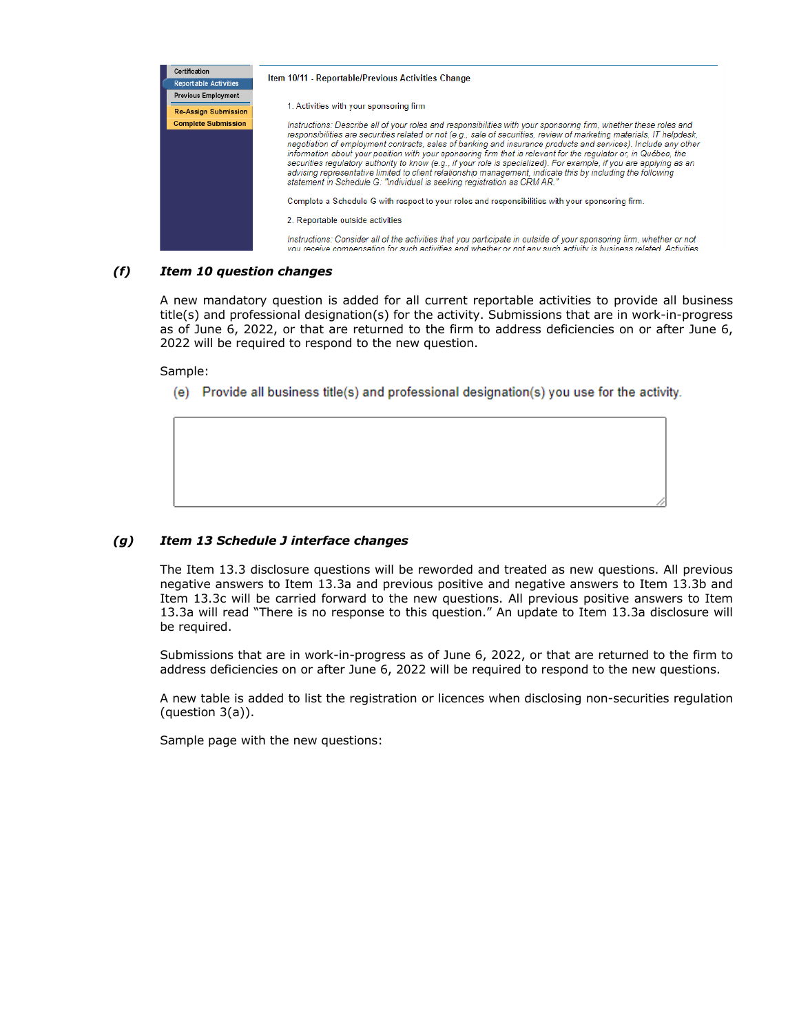

# *(f) Item 10 question changes*

A new mandatory question is added for all current reportable activities to provide all business title(s) and professional designation(s) for the activity. Submissions that are in work-in-progress as of June 6, 2022, or that are returned to the firm to address deficiencies on or after June 6, 2022 will be required to respond to the new question.

Sample:

(e) Provide all business title(s) and professional designation(s) you use for the activity.

# *(g) Item 13 Schedule J interface changes*

The Item 13.3 disclosure questions will be reworded and treated as new questions. All previous negative answers to Item 13.3a and previous positive and negative answers to Item 13.3b and Item 13.3c will be carried forward to the new questions. All previous positive answers to Item 13.3a will read "There is no response to this question." An update to Item 13.3a disclosure will be required.

Submissions that are in work-in-progress as of June 6, 2022, or that are returned to the firm to address deficiencies on or after June 6, 2022 will be required to respond to the new questions.

A new table is added to list the registration or licences when disclosing non-securities regulation (question 3(a)).

Sample page with the new questions: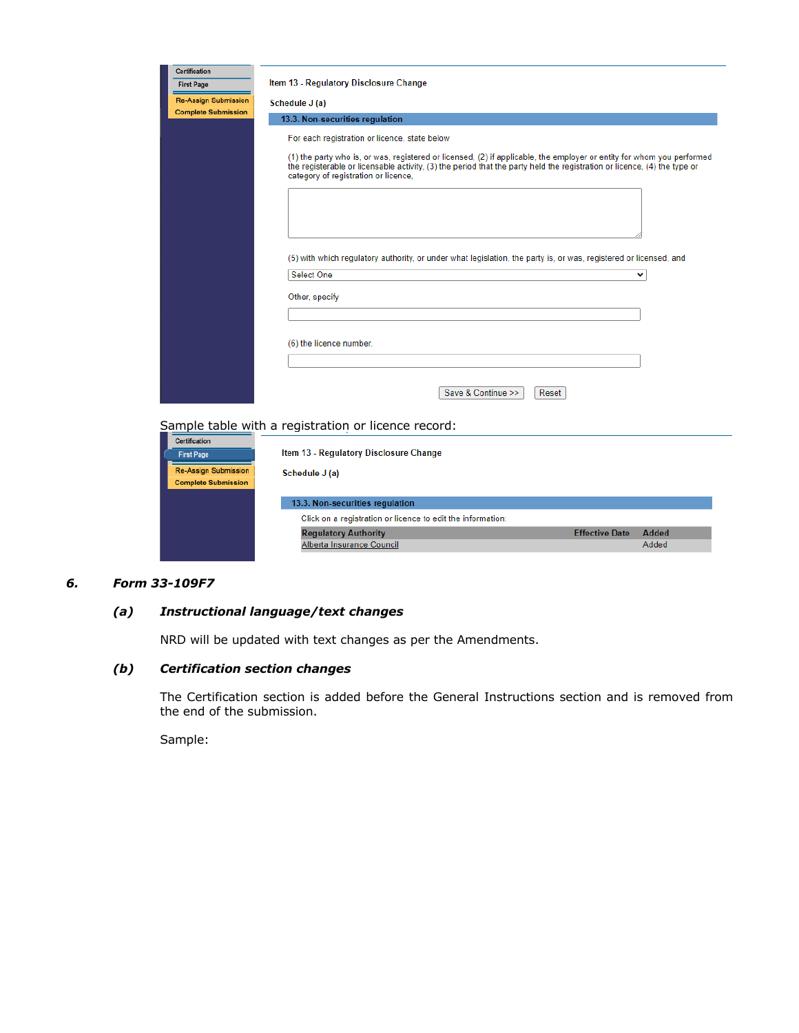| Certification                                             |                                                                                                                                                                                                                                                                                            |
|-----------------------------------------------------------|--------------------------------------------------------------------------------------------------------------------------------------------------------------------------------------------------------------------------------------------------------------------------------------------|
| <b>First Page</b>                                         | Item 13 - Regulatory Disclosure Change                                                                                                                                                                                                                                                     |
| <b>Re-Assign Submission</b>                               | Schedule J (a)                                                                                                                                                                                                                                                                             |
| <b>Complete Submission</b>                                | 13.3. Non-securities regulation                                                                                                                                                                                                                                                            |
|                                                           | For each registration or licence, state below                                                                                                                                                                                                                                              |
|                                                           | (1) the party who is, or was, registered or licensed, (2) if applicable, the employer or entity for whom you performed<br>the registerable or licensable activity, (3) the period that the party held the registration or licence, (4) the type or<br>category of registration or licence, |
|                                                           |                                                                                                                                                                                                                                                                                            |
|                                                           | (5) with which regulatory authority, or under what legislation, the party is, or was, registered or licensed, and                                                                                                                                                                          |
|                                                           | Select One<br>v                                                                                                                                                                                                                                                                            |
|                                                           | Other, specify                                                                                                                                                                                                                                                                             |
|                                                           |                                                                                                                                                                                                                                                                                            |
|                                                           | (6) the licence number.                                                                                                                                                                                                                                                                    |
|                                                           |                                                                                                                                                                                                                                                                                            |
|                                                           | Save & Continue >><br>Reset                                                                                                                                                                                                                                                                |
|                                                           | Sample table with a registration or licence record:                                                                                                                                                                                                                                        |
| Certification<br><b>First Page</b>                        | Item 13 - Regulatory Disclosure Change                                                                                                                                                                                                                                                     |
| <b>Re-Assign Submission</b><br><b>Complete Submission</b> | Schedule J (a)                                                                                                                                                                                                                                                                             |
|                                                           | 13.3. Non-securities regulation                                                                                                                                                                                                                                                            |
|                                                           | Click on a registration or licence to edit the information:                                                                                                                                                                                                                                |
|                                                           | <b>Effective Date</b><br><b>Regulatory Authority</b><br>Added                                                                                                                                                                                                                              |
|                                                           | Alberta Insurance Council<br>Added                                                                                                                                                                                                                                                         |

# *6. Form 33-109F7*

# *(a) Instructional language/text changes*

NRD will be updated with text changes as per the Amendments.

# *(b) Certification section changes*

The Certification section is added before the General Instructions section and is removed from the end of the submission.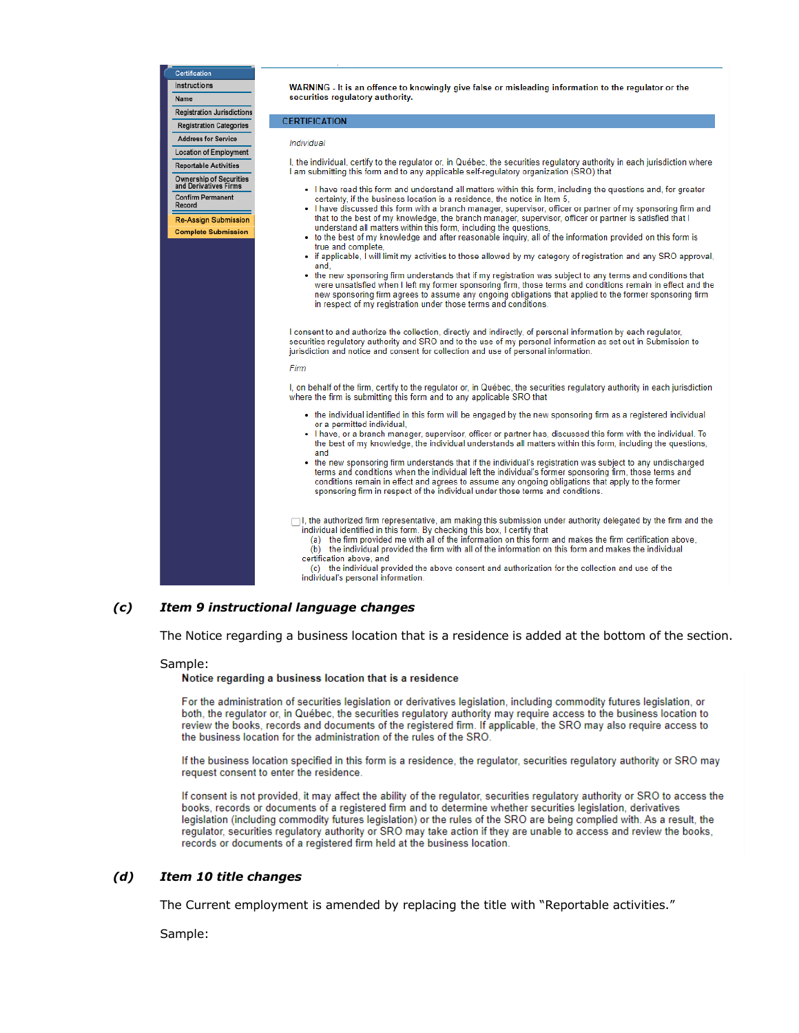Certification Instructions Name **Registration Jurisdictions Registration Categories Address for Service** Individual **Location of Employment Reportable Activities** Ownership of Securities<br>and Derivatives Firms **Confirm Permanent** Record  $\ddot{\phantom{0}}$ **Re-Assign Submission Complete Submission** Firm

WARNING - It is an offence to knowingly give false or misleading information to the regulator or the securities regulatory authority.

#### **CERTIFICATION**

I, the individual, certify to the regulator or, in Québec, the securities regulatory authority in each jurisdiction where I am submitting this form and to any applicable self-regulatory organization (SRO) that

- I have read this form and understand all matters within this form, including the questions and, for greater certainty, if the business location is a residence, the notice in Item 5,
- I have discussed this form with a branch manager, supervisor, officer or partner of my sponsoring firm and that to the best of my knowledge, the branch manager, supervisor, officer or partner is satisfied that I understand all matters within this form, including the questions,
- to the best of my knowledge and after reasonable inquiry, all of the information provided on this form is true and complete
- if applicable, I will limit my activities to those allowed by my category of registration and any SRO approval. and.
- the new sponsoring firm understands that if my registration was subject to any terms and conditions that were unsatisfied when I left my former sponsoring firm, those terms and conditions remain in effect and the The proposition agrees to assume any ongoing obligations that applied to the former sponsoring firm<br>in respect of my registration under those terms and conditions.

I consent to and authorize the collection, directly and indirectly, of personal information by each regulator, securities regulatory authority and SRO and to the use of my personal information as set out in Submission to jurisdiction and notice and consent for collection and use of personal information.

I, on behalf of the firm, certify to the regulator or, in Québec, the securities regulatory authority in each jurisdiction where the firm is submitting this form and to any applicable SRO that

- the individual identified in this form will be engaged by the new sponsoring firm as a registered individual or a permitted individual,
- I have, or a branch manager, supervisor, officer or partner has, discussed this form with the individual. To the best of my knowledge, the individual understands all matters within this form, including the questions, and
- the new sponsoring firm understands that if the individual's registration was subject to any undischarged terms and conditions when the individual left the individual's former sponsoring firm, those terms and conditions remain in effect and agrees to assume any ongoing obligations that apply to the former sponsoring firm in respect of the individual under those terms and conditions.

□ I, the authorized firm representative, am making this submission under authority delegated by the firm and the individual identified in this form. By checking this box, I certify that

(a) the firm provided me with all of the information on this form and makes the firm certification above,<br>(b) the individual provided the firm with all of the information on this form and makes the individual certification above, and

(c) the individual provided the above consent and authorization for the collection and use of the individual's personal information.

# *(c) Item 9 instructional language changes*

The Notice regarding a business location that is a residence is added at the bottom of the section.

#### Sample:

Notice regarding a business location that is a residence

For the administration of securities legislation or derivatives legislation, including commodity futures legislation, or both, the regulator or, in Québec, the securities regulatory authority may require access to the business location to review the books, records and documents of the registered firm. If applicable, the SRO may also require access to the business location for the administration of the rules of the SRO.

If the business location specified in this form is a residence, the regulator, securities regulatory authority or SRO may request consent to enter the residence.

If consent is not provided, it may affect the ability of the regulator, securities regulatory authority or SRO to access the books, records or documents of a registered firm and to determine whether securities legislation, derivatives legislation (including commodity futures legislation) or the rules of the SRO are being complied with. As a result, the regulator, securities regulatory authority or SRO may take action if they are unable to access and review the books, records or documents of a registered firm held at the business location.

#### *(d) Item 10 title changes*

The Current employment is amended by replacing the title with "Reportable activities."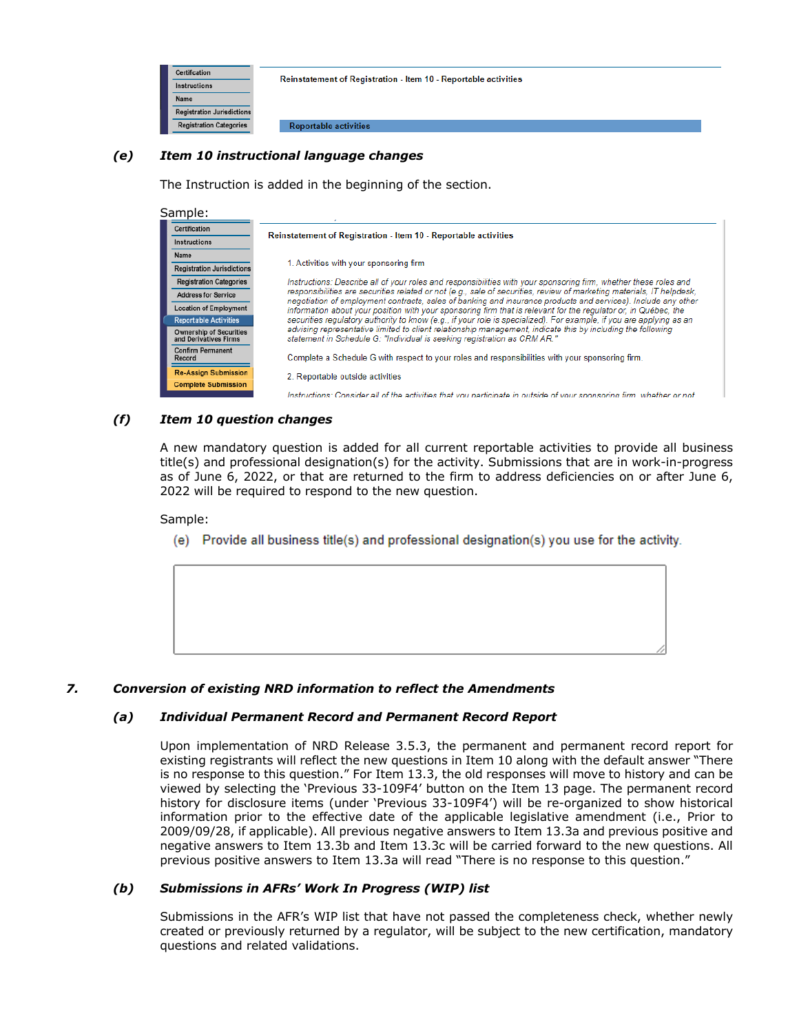

# *(e) Item 10 instructional language changes*

The Instruction is added in the beginning of the section.

| Sample:                                                 |                                                                                                                                                                                                                                        |
|---------------------------------------------------------|----------------------------------------------------------------------------------------------------------------------------------------------------------------------------------------------------------------------------------------|
| Certification                                           | <b>Reinstatement of Registration - Item 10 - Reportable activities</b>                                                                                                                                                                 |
| Instructions                                            |                                                                                                                                                                                                                                        |
| Name                                                    |                                                                                                                                                                                                                                        |
| <b>Registration Jurisdictions</b>                       | 1. Activities with your sponsoring firm                                                                                                                                                                                                |
| <b>Registration Categories</b>                          | Instructions: Describe all of your roles and responsibilities with your sponsoring firm, whether these roles and                                                                                                                       |
| <b>Address for Service</b>                              | responsibilities are securities related or not (e.g., sale of securities, review of marketing materials, IT helpdesk,<br>negotiation of employment contracts, sales of banking and insurance products and services). Include any other |
| <b>Location of Employment</b>                           | information about your position with your sponsoring firm that is relevant for the regulator or, in Québec, the                                                                                                                        |
| <b>Reportable Activities</b>                            | securities requlatory authority to know (e.g., if your role is specialized). For example, if you are applying as an                                                                                                                    |
| <b>Ownership of Securities</b><br>and Derivatives Firms | advising representative limited to client relationship management, indicate this by including the following<br>statement in Schedule G: "Individual is seeking registration as CRM AR."                                                |
| <b>Confirm Permanent</b><br>Record                      | Complete a Schedule G with respect to your roles and responsibilities with your sponsoring firm.                                                                                                                                       |
| <b>Re-Assign Submission</b>                             | 2. Reportable outside activities                                                                                                                                                                                                       |
| <b>Complete Submission</b>                              |                                                                                                                                                                                                                                        |
|                                                         | Instructions: Consider all of the activities that you participate in outside of your sponsoring firm, whether or not                                                                                                                   |

# *(f) Item 10 question changes*

A new mandatory question is added for all current reportable activities to provide all business title(s) and professional designation(s) for the activity. Submissions that are in work-in-progress as of June 6, 2022, or that are returned to the firm to address deficiencies on or after June 6, 2022 will be required to respond to the new question.

#### Sample:

(e) Provide all business title(s) and professional designation(s) you use for the activity.



# *7. Conversion of existing NRD information to reflect the Amendments*

# *(a) Individual Permanent Record and Permanent Record Report*

Upon implementation of NRD Release 3.5.3, the permanent and permanent record report for existing registrants will reflect the new questions in Item 10 along with the default answer "There is no response to this question." For Item 13.3, the old responses will move to history and can be viewed by selecting the 'Previous 33-109F4' button on the Item 13 page. The permanent record history for disclosure items (under 'Previous 33-109F4') will be re-organized to show historical information prior to the effective date of the applicable legislative amendment (i.e., Prior to 2009/09/28, if applicable). All previous negative answers to Item 13.3a and previous positive and negative answers to Item 13.3b and Item 13.3c will be carried forward to the new questions. All previous positive answers to Item 13.3a will read "There is no response to this question."

# *(b) Submissions in AFRs' Work In Progress (WIP) list*

Submissions in the AFR's WIP list that have not passed the completeness check, whether newly created or previously returned by a regulator, will be subject to the new certification, mandatory questions and related validations.